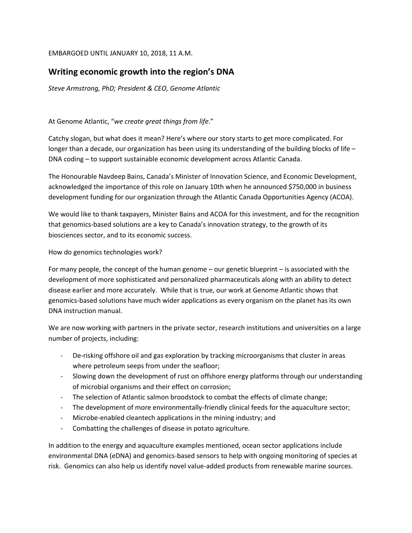## EMBARGOED UNTIL JANUARY 10, 2018, 11 A.M.

## **Writing economic growth into the region's DNA**

*Steve Armstrong, PhD; President & CEO, Genome Atlantic* 

At Genome Atlantic, "*we create great things from life*."

Catchy slogan, but what does it mean? Here's where our story starts to get more complicated. For longer than a decade, our organization has been using its understanding of the building blocks of life – DNA coding – to support sustainable economic development across Atlantic Canada.

The Honourable Navdeep Bains, Canada's Minister of Innovation Science, and Economic Development, acknowledged the importance of this role on January 10th when he announced \$750,000 in business development funding for our organization through the Atlantic Canada Opportunities Agency (ACOA).

We would like to thank taxpayers, Minister Bains and ACOA for this investment, and for the recognition that genomics-based solutions are a key to Canada's innovation strategy, to the growth of its biosciences sector, and to its economic success.

## How do genomics technologies work?

For many people, the concept of the human genome – our genetic blueprint – is associated with the development of more sophisticated and personalized pharmaceuticals along with an ability to detect disease earlier and more accurately. While that is true, our work at Genome Atlantic shows that genomics-based solutions have much wider applications as every organism on the planet has its own DNA instruction manual.

We are now working with partners in the private sector, research institutions and universities on a large number of projects, including:

- De-risking offshore oil and gas exploration by tracking microorganisms that cluster in areas where petroleum seeps from under the seafloor;
- Slowing down the development of rust on offshore energy platforms through our understanding of microbial organisms and their effect on corrosion;
- The selection of Atlantic salmon broodstock to combat the effects of climate change;
- The development of more environmentally-friendly clinical feeds for the aquaculture sector;
- Microbe-enabled cleantech applications in the mining industry; and
- Combatting the challenges of disease in potato agriculture.

In addition to the energy and aquaculture examples mentioned, ocean sector applications include environmental DNA (eDNA) and genomics-based sensors to help with ongoing monitoring of species at risk. Genomics can also help us identify novel value-added products from renewable marine sources.